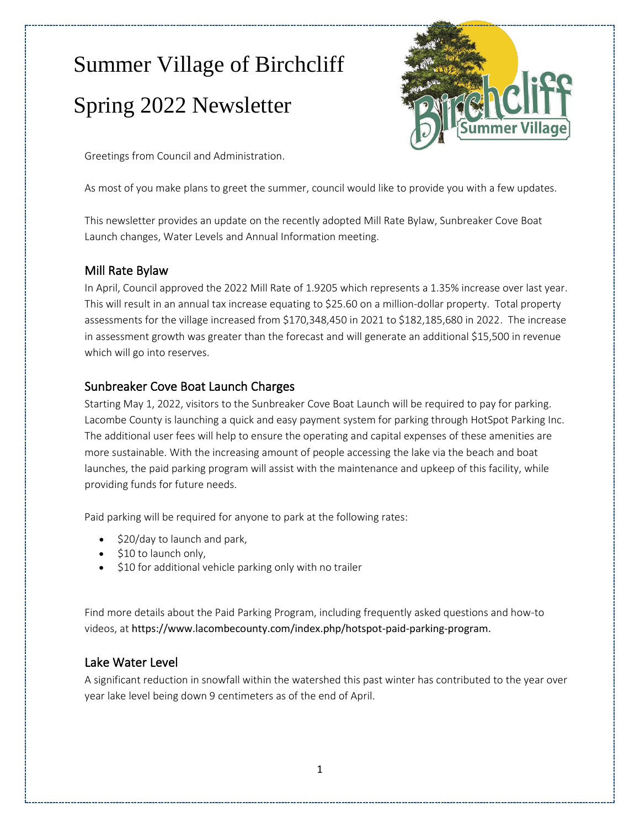# Summer Village of Birchcliff Spring 2022 Newsletter



Greetings from Council and Administration.

As most of you make plans to greet the summer, council would like to provide you with a few updates.

This newsletter provides an update on the recently adopted Mill Rate Bylaw, Sunbreaker Cove Boat Launch changes, Water Levels and Annual Information meeting.

## Mill Rate Bylaw

In April, Council approved the 2022 Mill Rate of 1.9205 which represents a 1.35% increase over last year. This will result in an annual tax increase equating to \$25.60 on a million-dollar property. Total property assessments for the village increased from \$170,348,450 in 2021 to \$182,185,680 in 2022. The increase in assessment growth was greater than the forecast and will generate an additional \$15,500 in revenue which will go into reserves.

# Sunbreaker Cove Boat Launch Charges

Starting May 1, 2022, visitors to the Sunbreaker Cove Boat Launch will be required to pay for parking. Lacombe County is launching a quick and easy payment system for parking through HotSpot Parking Inc. The additional user fees will help to ensure the operating and capital expenses of these amenities are more sustainable. With the increasing amount of people accessing the lake via the beach and boat launches, the paid parking program will assist with the maintenance and upkeep of this facility, while providing funds for future needs.

Paid parking will be required for anyone to park at the following rates:

- \$20/day to launch and park,
- \$10 to launch only,
- \$10 for additional vehicle parking only with no trailer

Find more details about the Paid Parking Program, including frequently asked questions and how-to videos, at [https://www.lacombecounty.com/index.php/hotspot-paid-parking-program.](https://www.lacombecounty.com/index.php/hotspot-paid-parking-program)

#### Lake Water Level

A significant reduction in snowfall within the watershed this past winter has contributed to the year over year lake level being down 9 centimeters as of the end of April.